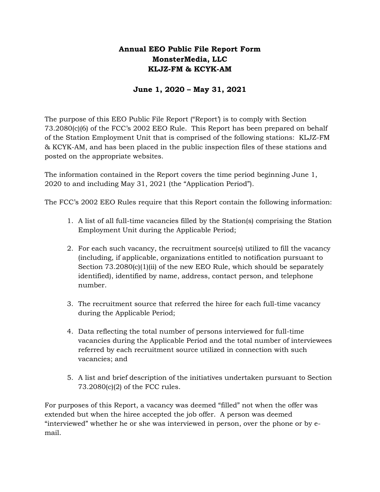## **Annual EEO Public File Report Form MonsterMedia, LLC KLJZ-FM & KCYK-AM**

### **June 1, 2020 – May 31, 2021**

The purpose of this EEO Public File Report ("Report') is to comply with Section 73.2080(c)(6) of the FCC's 2002 EEO Rule. This Report has been prepared on behalf of the Station Employment Unit that is comprised of the following stations: KLJZ-FM & KCYK-AM, and has been placed in the public inspection files of these stations and posted on the appropriate websites.

The information contained in the Report covers the time period beginning June 1, 2020 to and including May 31, 2021 (the "Application Period").

The FCC's 2002 EEO Rules require that this Report contain the following information:

- 1. A list of all full-time vacancies filled by the Station(s) comprising the Station Employment Unit during the Applicable Period;
- 2. For each such vacancy, the recruitment source(s) utilized to fill the vacancy (including, if applicable, organizations entitled to notification pursuant to Section  $73.2080(c)(1)(ii)$  of the new EEO Rule, which should be separately identified), identified by name, address, contact person, and telephone number.
- 3. The recruitment source that referred the hiree for each full-time vacancy during the Applicable Period;
- 4. Data reflecting the total number of persons interviewed for full-time vacancies during the Applicable Period and the total number of interviewees referred by each recruitment source utilized in connection with such vacancies; and
- 5. A list and brief description of the initiatives undertaken pursuant to Section 73.2080(c)(2) of the FCC rules.

For purposes of this Report, a vacancy was deemed "filled" not when the offer was extended but when the hiree accepted the job offer. A person was deemed "interviewed" whether he or she was interviewed in person, over the phone or by email.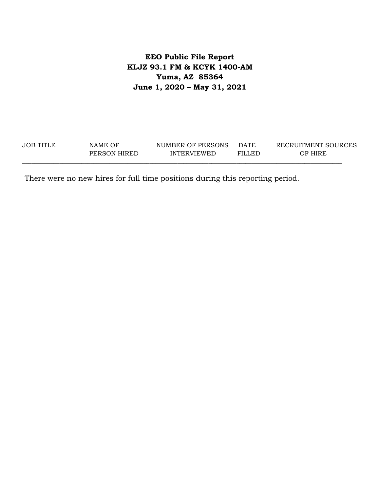## **EEO Public File Report KLJZ 93.1 FM & KCYK 1400-AM Yuma, AZ 85364 June 1, 2020 – May 31, 2021**

| JOB TITLE | NAME OF      | NUMBER OF PERSONS  | <b>DATE</b> | RECRUITMENT SOURCES |
|-----------|--------------|--------------------|-------------|---------------------|
|           | PERSON HIRED | <b>INTERVIEWED</b> | FILLED      | OF HIRE             |

There were no new hires for full time positions during this reporting period.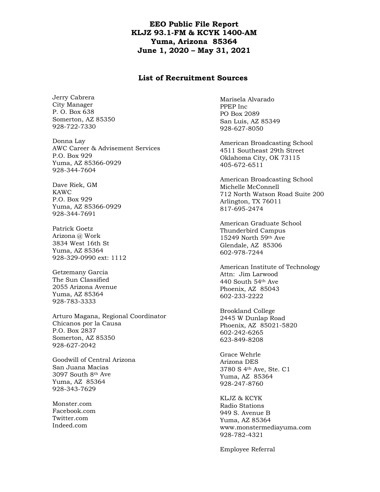#### **EEO Public File Report KLJZ 93.1-FM & KCYK 1400-AM Yuma, Arizona 85364 June 1, 2020 – May 31, 2021**

#### **List of Recruitment Sources**

Jerry Cabrera City Manager P. O. Box 638 Somerton, AZ 85350 928-722-7330

Donna Lay AWC Career & Advisement Services P.O. Box 929 Yuma, AZ 85366-0929 928-344-7604

Dave Riek, GM KAWC P.O. Box 929 Yuma, AZ 85366-0929 928-344-7691

Patrick Goetz Arizona @ Work 3834 West 16th St Yuma, AZ 85364 928-329-0990 ext: 1112

Getzemany Garcia The Sun Classified 2055 Arizona Avenue Yuma, AZ 85364 928-783-3333

Arturo Magana, Regional Coordinator Chicanos por la Causa P.O. Box 2837 Somerton, AZ 85350 928-627-2042

Goodwill of Central Arizona San Juana Macias 3097 South 8th Ave Yuma, AZ 85364 928-343-7629

Monster.com Facebook.com Twitter.com Indeed.com

Marisela Alvarado PPEP Inc PO Box 2089 San Luis, AZ 85349 928-627-8050

American Broadcasting School 4511 Southeast 29th Street Oklahoma City, OK 73115 405-672-6511

American Broadcasting School Michelle McConnell 712 North Watson Road Suite 200 Arlington, TX 76011 817-695-2474

American Graduate School Thunderbird Campus 15249 North 59th Ave Glendale, AZ 85306 602-978-7244

American Institute of Technology Attn: Jim Larwood 440 South 54th Ave Phoenix, AZ 85043 602-233-2222

Brookland College 2445 W Dunlap Road Phoenix, AZ 85021-5820 602-242-6265 623-849-8208

Grace Wehrle Arizona DES 3780 S 4th Ave, Ste. C1 Yuma, AZ 85364 928-247-8760

KLJZ & KCYK Radio Stations 949 S. Avenue B Yuma, AZ 85364 www.monstermediayuma.com 928-782-4321

Employee Referral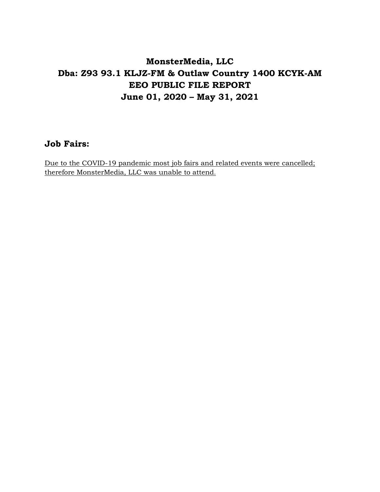# **MonsterMedia, LLC Dba: Z93 93.1 KLJZ-FM & Outlaw Country 1400 KCYK-AM EEO PUBLIC FILE REPORT June 01, 2020 – May 31, 2021**

## **Job Fairs:**

Due to the COVID-19 pandemic most job fairs and related events were cancelled; therefore MonsterMedia, LLC was unable to attend.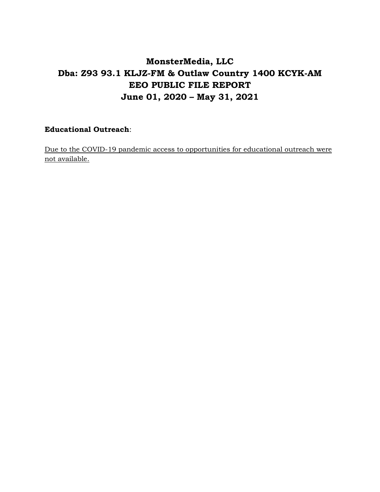# **MonsterMedia, LLC Dba: Z93 93.1 KLJZ-FM & Outlaw Country 1400 KCYK-AM EEO PUBLIC FILE REPORT June 01, 2020 – May 31, 2021**

### **Educational Outreach**:

Due to the COVID-19 pandemic access to opportunities for educational outreach were not available.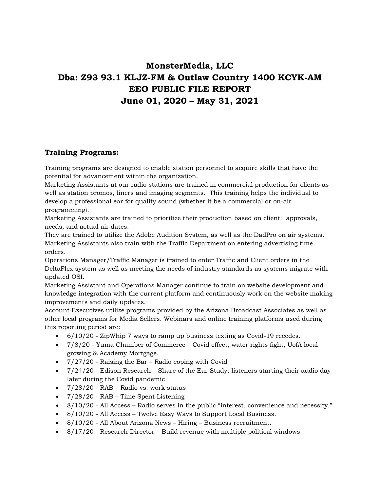# **MonsterMedia, LLC Dba: Z93 93.1 KLJZ-FM & Outlaw Country 1400 KCYK-AM EEO PUBLIC FILE REPORT June 01, 2020 – May 31, 2021**

### **Training Programs:**

Training programs are designed to enable station personnel to acquire skills that have the potential for advancement within the organization.

Marketing Assistants at our radio stations are trained in commercial production for clients as well as station promos, liners and imaging segments. This training helps the individual to develop a professional ear for quality sound (whether it be a commercial or on-air programming).

Marketing Assistants are trained to prioritize their production based on client: approvals, needs, and actual air dates.

They are trained to utilize the Adobe Audition System, as well as the DadPro on air systems. Marketing Assistants also train with the Traffic Department on entering advertising time orders.

Operations Manager/Traffic Manager is trained to enter Traffic and Client orders in the DeltaFlex system as well as meeting the needs of industry standards as systems migrate with updated OSI.

Marketing Assistant and Operations Manager continue to train on website development and knowledge integration with the current platform and continuously work on the website making improvements and daily updates.

Account Executives utilize programs provided by the Arizona Broadcast Associates as well as other local programs for Media Sellers. Webinars and online training platforms used during this reporting period are:

- 6/10/20 ZipWhip 7 ways to ramp up business texting as Covid-19 recedes.
- 7/8/20 Yuma Chamber of Commerce Covid effect, water rights fight, UofA local growing & Academy Mortgage.
- 7/27/20 Raising the Bar Radio coping with Covid
- 7/24/20 Edison Research Share of the Ear Study; listeners starting their audio day later during the Covid pandemic
- 7/28/20 RAB Radio vs. work status
- 7/28/20 RAB Time Spent Listening
- 8/10/20 All Access Radio serves in the public "interest, convenience and necessity."
- 8/10/20 All Access Twelve Easy Ways to Support Local Business.
- 8/10/20 All About Arizona News Hiring Business recruitment.
- 8/17/20 Research Director Build revenue with multiple political windows